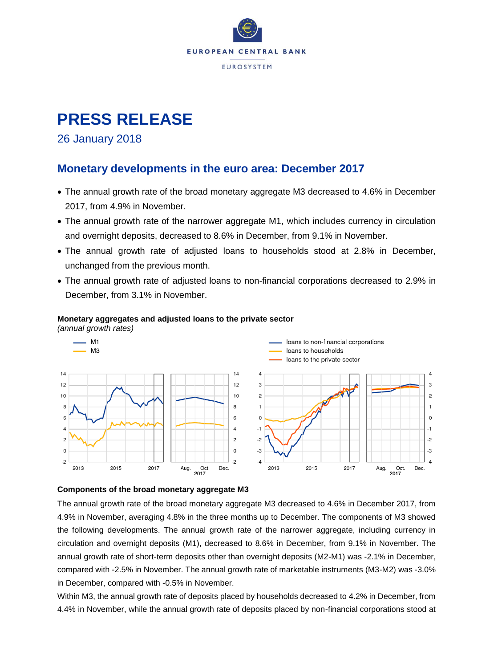

# **PRESS RELEASE**

### 26 January 2018

### **Monetary developments in the euro area: December 2017**

- The annual growth rate of the broad monetary aggregate M3 decreased to 4.6% in December 2017, from 4.9% in November.
- The annual growth rate of the narrower aggregate M1, which includes currency in circulation and overnight deposits, decreased to 8.6% in December, from 9.1% in November.
- The annual growth rate of adjusted loans to households stood at 2.8% in December, unchanged from the previous month.
- The annual growth rate of adjusted loans to non-financial corporations decreased to 2.9% in December, from 3.1% in November.







#### **Components of the broad monetary aggregate M3**

The annual growth rate of the broad monetary aggregate M3 decreased to 4.6% in December 2017, from 4.9% in November, averaging 4.8% in the three months up to December. The components of M3 showed the following developments. The annual growth rate of the narrower aggregate, including currency in circulation and overnight deposits (M1), decreased to 8.6% in December, from 9.1% in November. The annual growth rate of short-term deposits other than overnight deposits (M2-M1) was -2.1% in December, compared with -2.5% in November. The annual growth rate of marketable instruments (M3-M2) was -3.0% in December, compared with -0.5% in November.

Within M3, the annual growth rate of deposits placed by households decreased to 4.2% in December, from 4.4% in November, while the annual growth rate of deposits placed by non-financial corporations stood at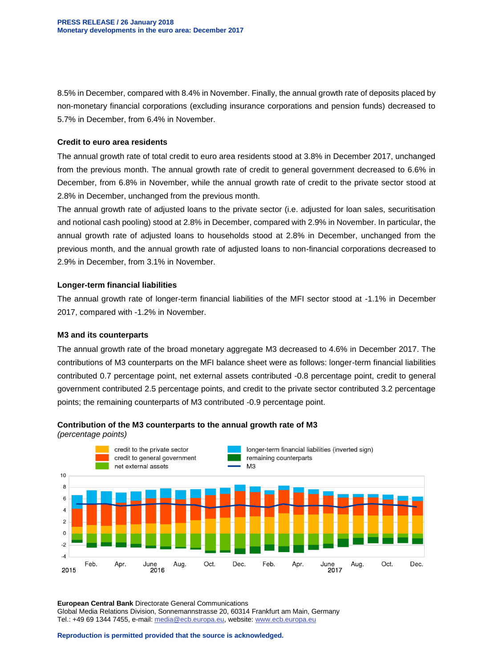8.5% in December, compared with 8.4% in November. Finally, the annual growth rate of deposits placed by non-monetary financial corporations (excluding insurance corporations and pension funds) decreased to 5.7% in December, from 6.4% in November.

#### **Credit to euro area residents**

The annual growth rate of total credit to euro area residents stood at 3.8% in December 2017, unchanged from the previous month. The annual growth rate of credit to general government decreased to 6.6% in December, from 6.8% in November, while the annual growth rate of credit to the private sector stood at 2.8% in December, unchanged from the previous month.

The annual growth rate of adjusted loans to the private sector (i.e. adjusted for loan sales, securitisation and notional cash pooling) stood at 2.8% in December, compared with 2.9% in November. In particular, the annual growth rate of adjusted loans to households stood at 2.8% in December, unchanged from the previous month, and the annual growth rate of adjusted loans to non-financial corporations decreased to 2.9% in December, from 3.1% in November.

#### **Longer-term financial liabilities**

The annual growth rate of longer-term financial liabilities of the MFI sector stood at -1.1% in December 2017, compared with -1.2% in November.

#### **M3 and its counterparts**

The annual growth rate of the broad monetary aggregate M3 decreased to 4.6% in December 2017. The contributions of M3 counterparts on the MFI balance sheet were as follows: longer-term financial liabilities contributed 0.7 percentage point, net external assets contributed -0.8 percentage point, credit to general government contributed 2.5 percentage points, and credit to the private sector contributed 3.2 percentage points; the remaining counterparts of M3 contributed -0.9 percentage point.



#### **Contribution of the M3 counterparts to the annual growth rate of M3**

*(percentage points)*

**European Central Bank** Directorate General Communications Global Media Relations Division, Sonnemannstrasse 20, 60314 Frankfurt am Main, Germany Tel.: +49 69 1344 7455, e-mail: [media@ecb.europa.eu,](mailto:media@ecb.europa.eu) website[: www.ecb.europa.eu](http://www.ecb.europa.eu/)

**Reproduction is permitted provided that the source is acknowledged.**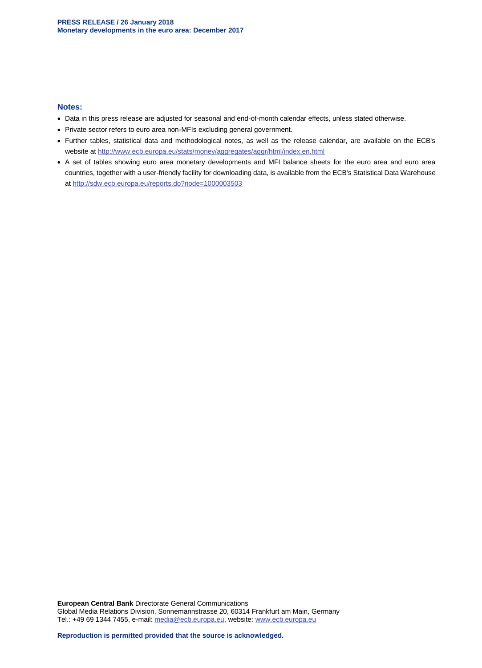#### **Notes:**

- Data in this press release are adjusted for seasonal and end-of-month calendar effects, unless stated otherwise.
- Private sector refers to euro area non-MFIs excluding general government.
- Further tables, statistical data and methodological notes, as well as the release calendar, are available on the ECB's website at<http://www.ecb.europa.eu/stats/money/aggregates/aggr/html/index.en.html>
- A set of tables showing euro area monetary developments and MFI balance sheets for the euro area and euro area countries, together with a user-friendly facility for downloading data, is available from the ECB's Statistical Data Warehouse at<http://sdw.ecb.europa.eu/reports.do?node=1000003503>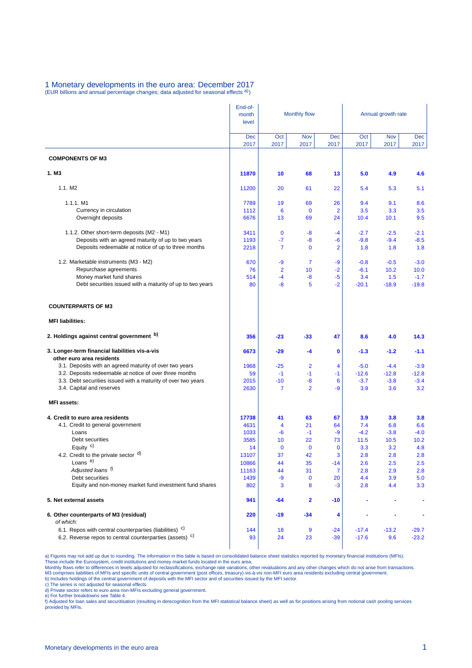#### 1 Monetary developments in the euro area: December 2017 (EUR billions and annual percentage changes; data adjusted for seasonal effects a))

|                                                                                            | End-of-<br>month<br>level | <b>Monthly flow</b> |                        |                       | Annual growth rate |                |                |  |
|--------------------------------------------------------------------------------------------|---------------------------|---------------------|------------------------|-----------------------|--------------------|----------------|----------------|--|
|                                                                                            | Dec<br>2017               | Oct<br>2017         | Nov<br>2017            | <b>Dec</b><br>2017    | Oct<br>2017        | Nov<br>2017    | Dec<br>2017    |  |
| <b>COMPONENTS OF M3</b>                                                                    |                           |                     |                        |                       |                    |                |                |  |
| 1. M <sub>3</sub>                                                                          | 11870                     | 10                  | 68                     | 13                    | 5.0                | 4.9            | 4.6            |  |
| 1.1. M <sub>2</sub>                                                                        | 11200                     | 20                  | 61                     | 22                    | 5.4                | 5.3            | 5.1            |  |
| 1.1.1. M1                                                                                  | 7789                      | 19                  | 69                     | 26                    | 9.4                | 9.1            | 8.6            |  |
| Currency in circulation                                                                    | 1112                      | 6                   | $\mathbf 0$            | $\overline{2}$        | 3.5                | 3.3            | 3.5            |  |
| Overnight deposits                                                                         | 6676                      | 13                  | 69                     | 24                    | 10.4               | 10.1           | 9.5            |  |
| 1.1.2. Other short-term deposits (M2 - M1)                                                 | 3411                      | $\mathbf 0$         | -8                     | $-4$                  | $-2.7$             | $-2.5$         | $-2.1$         |  |
| Deposits with an agreed maturity of up to two years                                        | 1193                      | -7                  | -8                     | $-6$                  | $-9.8$             | $-9.4$         | $-8.5$         |  |
| Deposits redeemable at notice of up to three months                                        | 2218                      | $\overline{7}$      | $\mathbf 0$            | $\overline{2}$        | 1.8                | 1.8            | 1.8            |  |
| 1.2. Marketable instruments (M3 - M2)                                                      | 670                       | -9                  | $\overline{7}$         | -9                    | $-0.8$             | $-0.5$         | $-3.0$         |  |
| Repurchase agreements                                                                      | 76                        | $\overline{2}$      | 10                     | $-2$                  | $-6.1$             | 10.2           | 10.0           |  |
| Money market fund shares                                                                   | 514                       | $-4$                | -8                     | $-5$                  | 3.4                | 1.5            | $-1.7$         |  |
| Debt securities issued with a maturity of up to two years                                  | 80                        | -8                  | 5                      | $-2$                  | $-20.1$            | $-18.9$        | $-19.8$        |  |
| <b>COUNTERPARTS OF M3</b>                                                                  |                           |                     |                        |                       |                    |                |                |  |
| <b>MFI liabilities:</b>                                                                    |                           |                     |                        |                       |                    |                |                |  |
| 2. Holdings against central government b)                                                  | 356                       | $-23$               | $-33$                  | 47                    | 8.6                | 4.0            | 14.3           |  |
| 3. Longer-term financial liabilities vis-a-vis<br>other euro area residents                | 6673                      | $-29$               | -4                     | 0                     | $-1.3$             | $-1.2$         | $-1.1$         |  |
| 3.1. Deposits with an agreed maturity of over two years                                    | 1968                      | $-25$               | $\overline{2}$         | 4                     | $-5.0$             | $-4.4$         | $-3.9$         |  |
| 3.2. Deposits redeemable at notice of over three months                                    | 59                        | $-1$                | $-1$                   | $-1$                  | $-12.6$            | $-12.8$        | $-12.8$        |  |
| 3.3. Debt securities issued with a maturity of over two years<br>3.4. Capital and reserves | 2015<br>2630              | $-10$<br>7          | $-8$<br>$\overline{2}$ | $6\phantom{1}6$<br>-9 | $-3.7$<br>3.9      | $-3.8$<br>3.6  | $-3.4$<br>3.2  |  |
| <b>MFI</b> assets:                                                                         |                           |                     |                        |                       |                    |                |                |  |
|                                                                                            |                           |                     |                        |                       |                    |                |                |  |
| 4. Credit to euro area residents                                                           | 17738                     | 41                  | 63                     | 67                    | 3.9                | 3.8            | 3.8            |  |
| 4.1. Credit to general government                                                          | 4631                      | 4                   | 21                     | 64                    | 7.4                | 6.8            | 6.6            |  |
| Loans<br>Debt securities                                                                   | 1033<br>3585              | $-6$<br>10          | $-1$<br>22             | -9<br>73              | $-4.2$<br>11.5     | $-3.8$<br>10.5 | $-4.0$<br>10.2 |  |
| Equity $c$ )                                                                               | 14                        | $\bf{0}$            | $\mathbf 0$            | $\mathbf 0$           | 3.3                | 3.2            | 4.8            |  |
| 4.2. Credit to the private sector d)                                                       | 13107                     | 37                  | 42                     | 3                     | 2.8                | 2.8            | 2.8            |  |
| Loans <sup>e)</sup>                                                                        | 10866                     | 44                  | 35                     | $-14$                 | 2.6                | 2.5            | 2.5            |  |
| Adjusted loans f)                                                                          | 11163                     | 44                  | 31                     | $\overline{7}$        | 2.8                | 2.9            | 2.8            |  |
| Debt securities                                                                            | 1439                      | -9                  | $\bf{0}$               | 20                    | 4.4                | 3.9            | 5.0            |  |
| Equity and non-money market fund investment fund shares                                    | 802                       | 3                   | 8                      | $-3$                  | 2.8                | 4.4            | 3.3            |  |
| 5. Net external assets                                                                     | 941                       | -64                 | 2                      | -10                   |                    |                |                |  |
| 6. Other counterparts of M3 (residual)<br>of which:                                        | 220                       | -19                 | $-34$                  | 4                     |                    |                |                |  |
| 6.1. Repos with central counterparties (liabilities) <sup>c)</sup>                         | 144                       | 18                  | $\overline{9}$         | $-24$                 | $-17.4$            | $-13.2$        | $-29.7$        |  |
| 6.2. Reverse repos to central counterparties (assets) <sup>c)</sup>                        | 93                        | 24                  | 23                     | $-39$                 | $-17.6$            | 9.6            | $-23.2$        |  |

a) Figures may not add up due to rounding. The information in this table is based on consolidated balance sheet statistics reported by monetary financial institutions (MFIs).<br>These include the Eurosystem, credit institutio

c) The series is not adjusted for seasonal effects. d) Private sector refers to euro area non-MFIs excluding general government.

e) For further breakdowns see Table 4.<br>f) Adjusted for loan sales and securitisation (resulting in derecognition from the MFI statistical balance sheet) as well as for positions arising from notional cash pooling services provided by MFIs.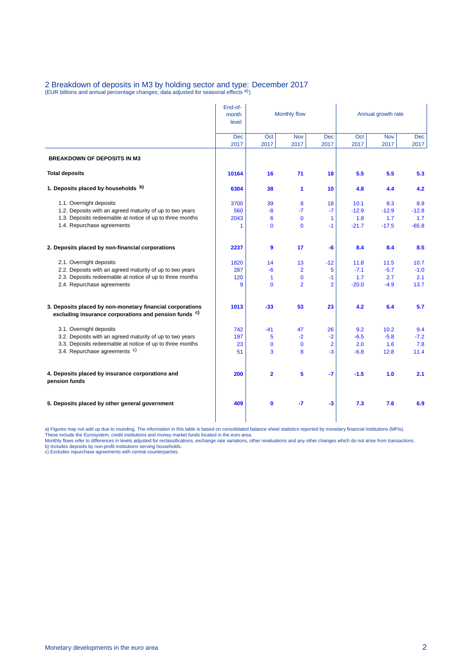## 2 Breakdown of deposits in M3 by holding sector and type: December 2017<br>(EUR billions and annual percentage changes; data adjusted for seasonal effects <sup>a)</sup>)

|                                                                                                                               | End-of-<br>month<br>level | Monthly flow   |                    |                    | Annual growth rate |                    |             |  |
|-------------------------------------------------------------------------------------------------------------------------------|---------------------------|----------------|--------------------|--------------------|--------------------|--------------------|-------------|--|
|                                                                                                                               | <b>Dec</b><br>2017        | Oct<br>2017    | <b>Nov</b><br>2017 | <b>Dec</b><br>2017 | Oct<br>2017        | <b>Nov</b><br>2017 | Dec<br>2017 |  |
| <b>BREAKDOWN OF DEPOSITS IN M3</b>                                                                                            |                           |                |                    |                    |                    |                    |             |  |
| <b>Total deposits</b>                                                                                                         | 10164                     | 16             | 71                 | 18                 | 5.5                | 5.5                | 5.3         |  |
| 1. Deposits placed by households b)                                                                                           | 6304                      | 38             | $\mathbf{1}$       | 10                 | 4.8                | 4.4                | 4.2         |  |
| 1.1. Overnight deposits                                                                                                       | 3700                      | 39             | 8                  | 18                 | 10.1               | 9.3                | 8.9         |  |
| 1.2. Deposits with an agreed maturity of up to two years                                                                      | 560                       | $-8$           | $-7$               | $-7$               | $-12.9$            | $-12.9$            | $-12.8$     |  |
| 1.3. Deposits redeemable at notice of up to three months                                                                      | 2043                      | 6              | $\mathbf 0$        | 1                  | 1.8                | 1.7                | 1.7         |  |
| 1.4. Repurchase agreements                                                                                                    | 1                         | $\mathbf 0$    | $\mathbf 0$        | $-1$               | $-21.7$            | $-17.5$            | $-65.8$     |  |
| 2. Deposits placed by non-financial corporations                                                                              | 2237                      | 9              | 17                 | -6                 | 8.4                | 8.4                | 8.5         |  |
| 2.1. Overnight deposits                                                                                                       | 1820                      | 14             | 13                 | $-12$              | 11.8               | 11.5               | 10.7        |  |
| 2.2. Deposits with an agreed maturity of up to two years                                                                      | 287                       | $-6$           | $\overline{2}$     | 5                  | $-7.1$             | $-5.7$             | $-1.0$      |  |
| 2.3. Deposits redeemable at notice of up to three months                                                                      | 120                       | 1              | $\mathbf 0$        | $-1$               | 1.7                | 2.7                | 2.1         |  |
| 2.4. Repurchase agreements                                                                                                    | 9                         | $\Omega$       | $\overline{2}$     | $\overline{2}$     | $-20.0$            | $-4.9$             | 13.7        |  |
| 3. Deposits placed by non-monetary financial corporations<br>excluding insurance corporations and pension funds <sup>c)</sup> | 1013                      | $-33$          | 53                 | 23                 | 4.2                | 6.4                | 5.7         |  |
| 3.1. Overnight deposits                                                                                                       | 742                       | $-41$          | 47                 | 26                 | 9.2                | 10.2               | 9.4         |  |
| 3.2. Deposits with an agreed maturity of up to two years                                                                      | 197                       | 5              | $-2$               | $-2$               | $-6.5$             | $-5.8$             | $-7.2$      |  |
| 3.3. Deposits redeemable at notice of up to three months                                                                      | 23                        | $\mathbf 0$    | $\mathbf 0$        | $\overline{2}$     | 2.0                | 1.6                | 7.8         |  |
| 3.4. Repurchase agreements <sup>c)</sup>                                                                                      | 51                        | 3              | 8                  | $-3$               | $-6.8$             | 12.8               | 11.4        |  |
| 4. Deposits placed by insurance corporations and<br>pension funds                                                             | 200                       | $\overline{2}$ | 5                  | -7                 | $-1.5$             | 1.0                | 2.1         |  |
| 5. Deposits placed by other general government                                                                                | 409                       | $\mathbf 0$    | -7                 | $-3$               | 7.3                | 7.6                | 6.9         |  |

a) Figures may not add up due to rounding. The information in this table is based on consolidated balance sheet statistics reported by monetary financial institutions (MFIs).<br>These include the Eurosystem, credit institutio